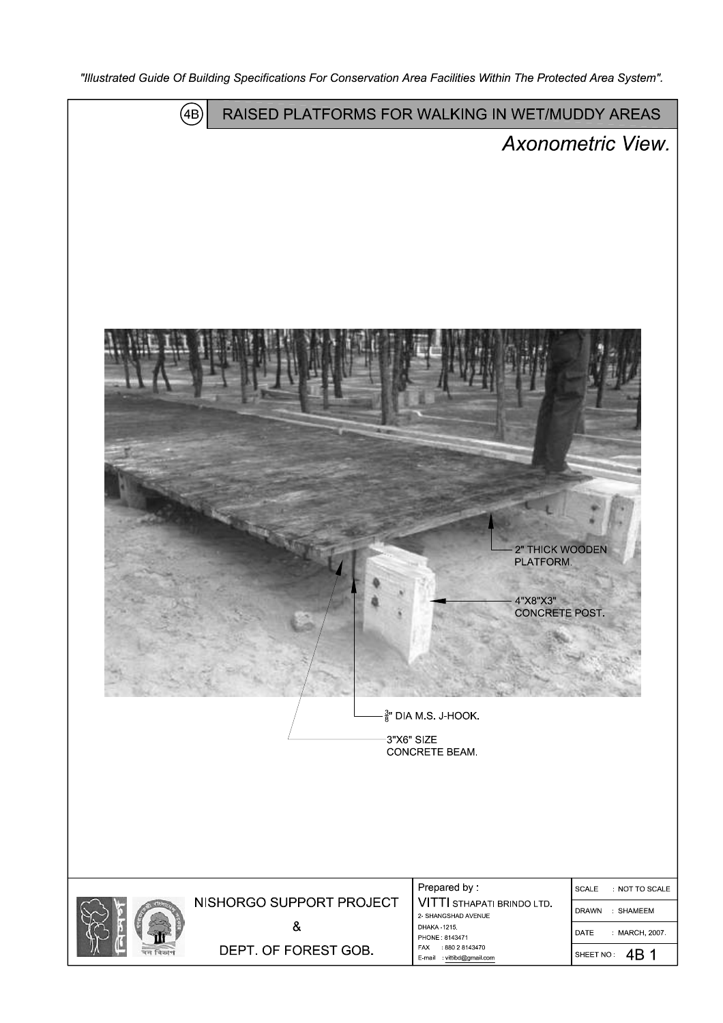"Illustrated Guide Of Building Specifications For Conservation Area Facilities Within The Protected Area System".

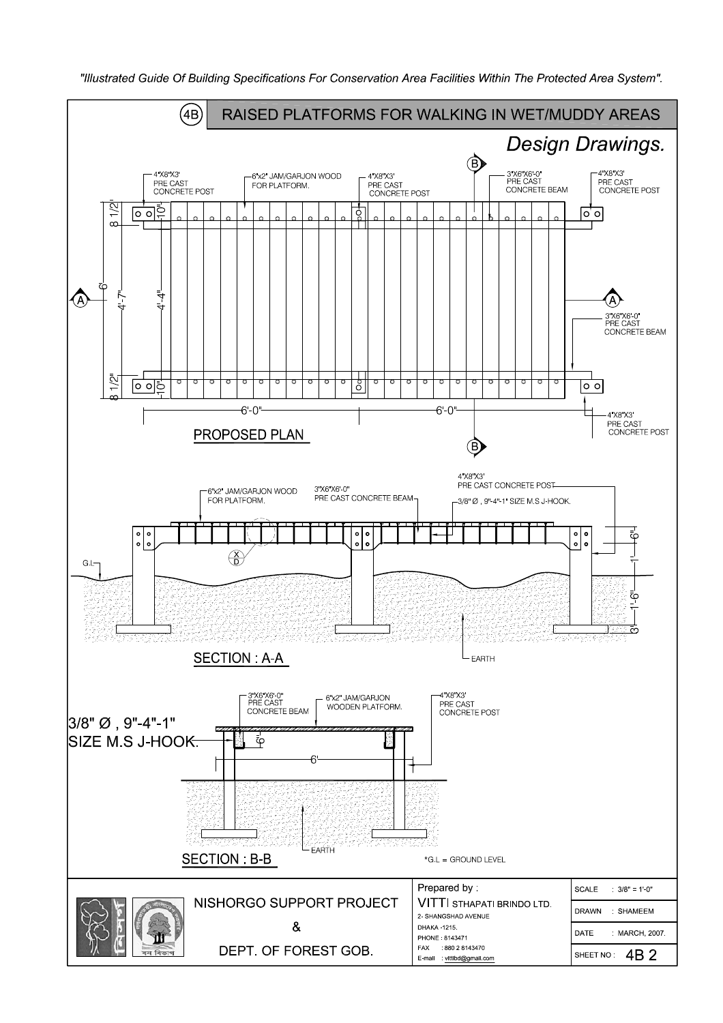

"Illustrated Guide Of Building Specifications For Conservation Area Facilities Within The Protected Area System".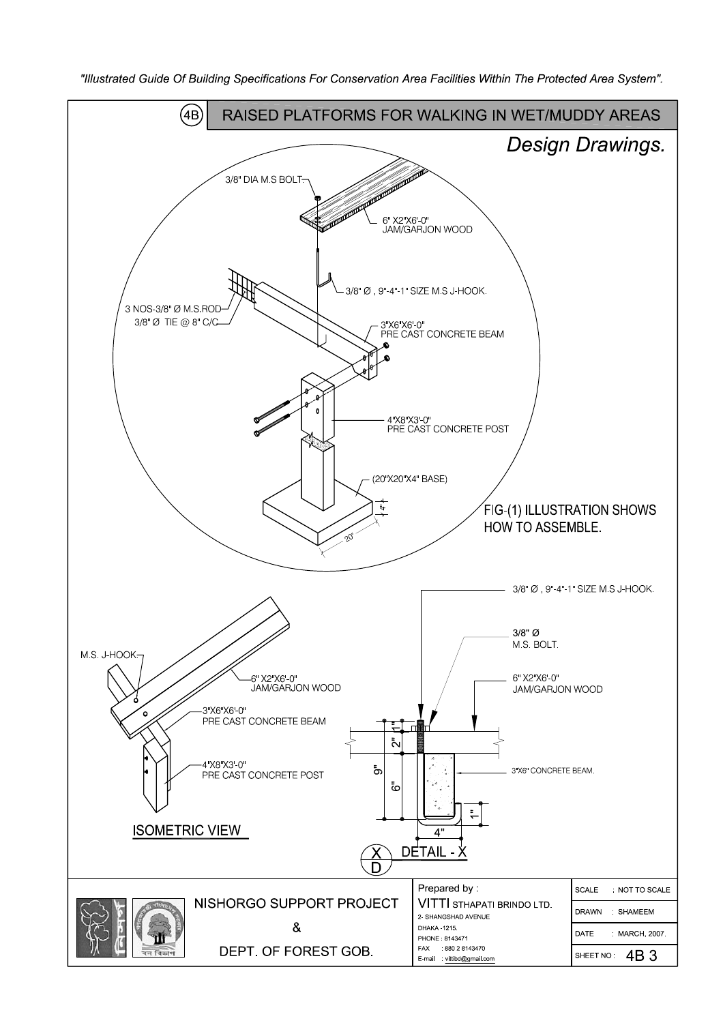

"Illustrated Guide Of Building Specifications For Conservation Area Facilities Within The Protected Area System".